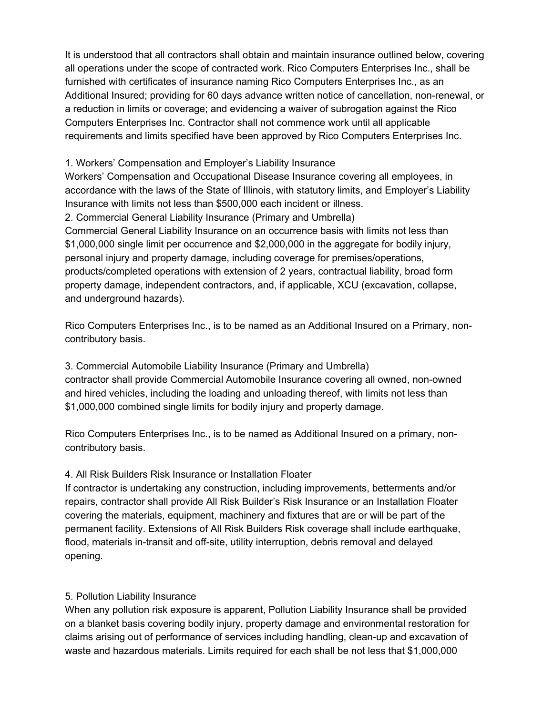It is understood that all contractors shall obtain and maintain insurance outlined below, covering all operations under the scope of contracted work. Rico Computers Enterprises Inc., shall be furnished with certificates of insurance naming Rico Computers Enterprises Inc., as an Additional Insured; providing for 60 days advance written notice of cancellation, non-renewal, or a reduction in limits or coverage; and evidencing a waiver of subrogation against the Rico Computers Enterprises Inc. Contractor shall not commence work until all applicable requirements and limits specified have been approved by Rico Computers Enterprises Inc.

1. Workers' Compensation and Employer's Liability Insurance

Workers' Compensation and Occupational Disease Insurance covering all employees, in accordance with the laws of the State of Illinois, with statutory limits, and Employer's Liability Insurance with limits not less than \$500,000 each incident or illness.

2. Commercial General Liability Insurance (Primary and Umbrella)

Commercial General Liability Insurance on an occurrence basis with limits not less than \$1,000,000 single limit per occurrence and \$2,000,000 in the aggregate for bodily injury, personal injury and property damage, including coverage for premises/operations, products/completed operations with extension of 2 years, contractual liability, broad form property damage, independent contractors, and, if applicable, XCU (excavation, collapse, and underground hazards).

Rico Computers Enterprises Inc., is to be named as an Additional Insured on a Primary, noncontributory basis.

3. Commercial Automobile Liability Insurance (Primary and Umbrella) contractor shall provide Commercial Automobile Insurance covering all owned, non-owned and hired vehicles, including the loading and unloading thereof, with limits not less than \$1,000,000 combined single limits for bodily injury and property damage.

Rico Computers Enterprises Inc., is to be named as Additional Insured on a primary, noncontributory basis.

## 4. All Risk Builders Risk Insurance or Installation Floater

If contractor is undertaking any construction, including improvements, betterments and/or repairs, contractor shall provide All Risk Builder's Risk Insurance or an Installation Floater covering the materials, equipment, machinery and fixtures that are or will be part of the permanent facility. Extensions of All Risk Builders Risk coverage shall include earthquake, flood, materials in-transit and off-site, utility interruption, debris removal and delayed opening.

## 5. Pollution Liability Insurance

When any pollution risk exposure is apparent, Pollution Liability Insurance shall be provided on a blanket basis covering bodily injury, property damage and environmental restoration for claims arising out of performance of services including handling, clean-up and excavation of waste and hazardous materials. Limits required for each shall be not less that \$1,000,000